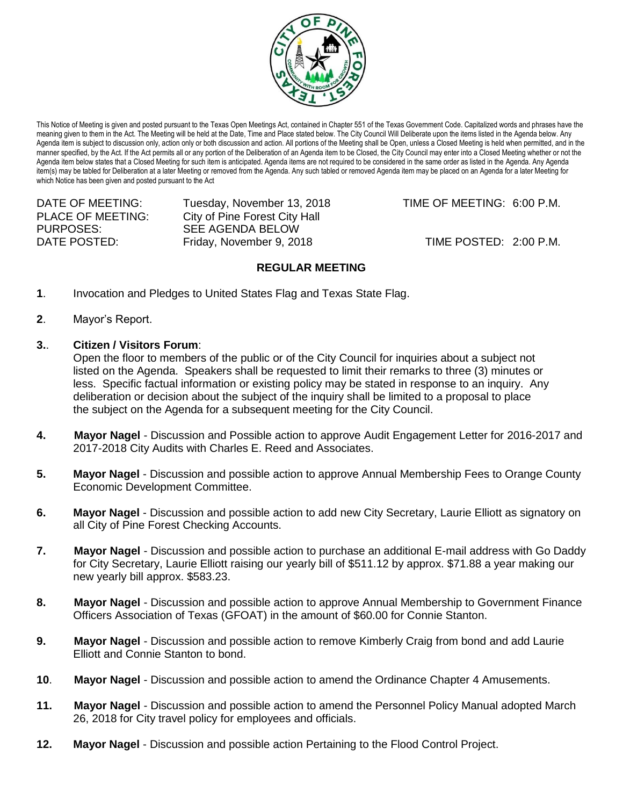

This Notice of Meeting is given and posted pursuant to the Texas Open Meetings Act, contained in Chapter 551 of the Texas Government Code. Capitalized words and phrases have the meaning given to them in the Act. The Meeting will be held at the Date, Time and Place stated below. The City Council Will Deliberate upon the items listed in the Agenda below. Any Agenda item is subject to discussion only, action only or both discussion and action. All portions of the Meeting shall be Open, unless a Closed Meeting is held when permitted, and in the manner specified, by the Act. If the Act permits all or any portion of the Deliberation of an Agenda item to be Closed, the City Council may enter into a Closed Meeting whether or not the Agenda item below states that a Closed Meeting for such item is anticipated. Agenda items are not required to be considered in the same order as listed in the Agenda. Any Agenda item(s) may be tabled for Deliberation at a later Meeting or removed from the Agenda. Any such tabled or removed Agenda item may be placed on an Agenda for a later Meeting for which Notice has been given and posted pursuant to the Act

DATE OF MEETING: Tuesday, November 13, 2018 TIME OF MEETING: 6:00 P.M. PLACE OF MEETING: City of Pine Forest City Hall PURPOSES: SEE AGENDA BELOW DATE POSTED: Friday, November 9, 2018 TIME POSTED: 2:00 P.M.

## **REGULAR MEETING**

- **1**. Invocation and Pledges to United States Flag and Texas State Flag.
- **2**. Mayor's Report.
- **3.**. **Citizen / Visitors Forum**:

Open the floor to members of the public or of the City Council for inquiries about a subject not listed on the Agenda. Speakers shall be requested to limit their remarks to three (3) minutes or less. Specific factual information or existing policy may be stated in response to an inquiry. Any deliberation or decision about the subject of the inquiry shall be limited to a proposal to place the subject on the Agenda for a subsequent meeting for the City Council.

- **4. Mayor Nagel** Discussion and Possible action to approve Audit Engagement Letter for 2016-2017 and 2017-2018 City Audits with Charles E. Reed and Associates.
- **5. Mayor Nagel** Discussion and possible action to approve Annual Membership Fees to Orange County Economic Development Committee.
- **6. Mayor Nagel** Discussion and possible action to add new City Secretary, Laurie Elliott as signatory on all City of Pine Forest Checking Accounts.
- **7. Mayor Nagel** Discussion and possible action to purchase an additional E-mail address with Go Daddy for City Secretary, Laurie Elliott raising our yearly bill of \$511.12 by approx. \$71.88 a year making our new yearly bill approx. \$583.23.
- **8. Mayor Nagel** Discussion and possible action to approve Annual Membership to Government Finance Officers Association of Texas (GFOAT) in the amount of \$60.00 for Connie Stanton.
- **9. Mayor Nagel** Discussion and possible action to remove Kimberly Craig from bond and add Laurie Elliott and Connie Stanton to bond.
- **10**. **Mayor Nagel** Discussion and possible action to amend the Ordinance Chapter 4 Amusements.
- **11. Mayor Nagel** Discussion and possible action to amend the Personnel Policy Manual adopted March 26, 2018 for City travel policy for employees and officials.
- **12. Mayor Nagel** Discussion and possible action Pertaining to the Flood Control Project.